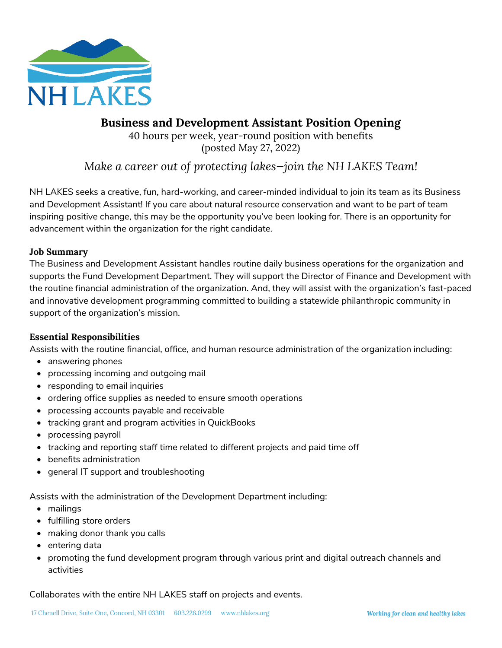

# **Business and Development Assistant Position Opening**

40 hours per week, year-round position with benefits (posted May 27, 2022)

# *Make a career out of protecting lakes—join the NH LAKES Team!*

NH LAKES seeks a creative, fun, hard-working, and career-minded individual to join its team as its Business and Development Assistant! If you care about natural resource conservation and want to be part of team inspiring positive change, this may be the opportunity you've been looking for. There is an opportunity for advancement within the organization for the right candidate.

### **Job Summary**

The Business and Development Assistant handles routine daily business operations for the organization and supports the Fund Development Department. They will support the Director of Finance and Development with the routine financial administration of the organization. And, they will assist with the organization's fast-paced and innovative development programming committed to building a statewide philanthropic community in support of the organization's mission.

### **Essential Responsibilities**

Assists with the routine financial, office, and human resource administration of the organization including:

- answering phones
- processing incoming and outgoing mail
- responding to email inquiries
- ordering office supplies as needed to ensure smooth operations
- processing accounts payable and receivable
- tracking grant and program activities in QuickBooks
- processing payroll
- tracking and reporting staff time related to different projects and paid time off
- benefits administration
- general IT support and troubleshooting

Assists with the administration of the Development Department including:

- mailings
- fulfilling store orders
- making donor thank you calls
- entering data
- promoting the fund development program through various print and digital outreach channels and activities

Collaborates with the entire NH LAKES staff on projects and events.